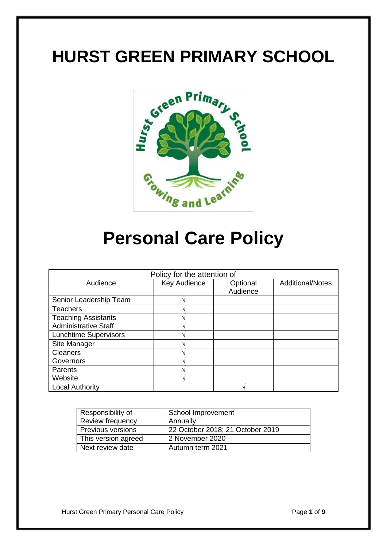# **HURST GREEN PRIMARY SCHOOL**



# **Personal Care Policy**

| Policy for the attention of  |              |                      |                         |  |  |
|------------------------------|--------------|----------------------|-------------------------|--|--|
| Audience                     | Key Audience | Optional<br>Audience | <b>Additional/Notes</b> |  |  |
| Senior Leadership Team       |              |                      |                         |  |  |
| <b>Teachers</b>              |              |                      |                         |  |  |
| <b>Teaching Assistants</b>   |              |                      |                         |  |  |
| <b>Administrative Staff</b>  |              |                      |                         |  |  |
| <b>Lunchtime Supervisors</b> |              |                      |                         |  |  |
| Site Manager                 |              |                      |                         |  |  |
| <b>Cleaners</b>              |              |                      |                         |  |  |
| Governors                    |              |                      |                         |  |  |
| <b>Parents</b>               |              |                      |                         |  |  |
| Website                      |              |                      |                         |  |  |
| <b>Local Authority</b>       |              |                      |                         |  |  |

| Responsibility of       | School Improvement               |  |  |
|-------------------------|----------------------------------|--|--|
| <b>Review frequency</b> | Annually                         |  |  |
| Previous versions       | 22 October 2018; 21 October 2019 |  |  |
| This version agreed     | 2 November 2020                  |  |  |
| Next review date        | Autumn term 2021                 |  |  |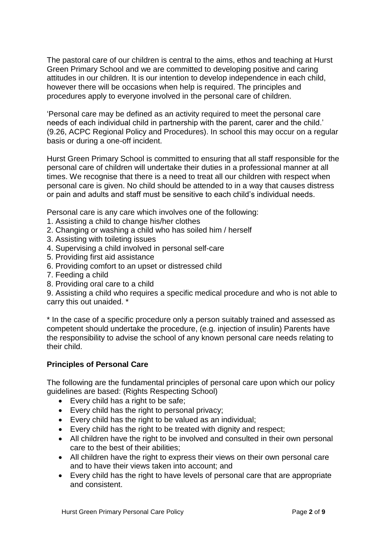The pastoral care of our children is central to the aims, ethos and teaching at Hurst Green Primary School and we are committed to developing positive and caring attitudes in our children. It is our intention to develop independence in each child, however there will be occasions when help is required. The principles and procedures apply to everyone involved in the personal care of children.

'Personal care may be defined as an activity required to meet the personal care needs of each individual child in partnership with the parent, carer and the child.' (9.26, ACPC Regional Policy and Procedures). In school this may occur on a regular basis or during a one-off incident.

Hurst Green Primary School is committed to ensuring that all staff responsible for the personal care of children will undertake their duties in a professional manner at all times. We recognise that there is a need to treat all our children with respect when personal care is given. No child should be attended to in a way that causes distress or pain and adults and staff must be sensitive to each child's individual needs.

Personal care is any care which involves one of the following:

- 1. Assisting a child to change his/her clothes
- 2. Changing or washing a child who has soiled him / herself
- 3. Assisting with toileting issues
- 4. Supervising a child involved in personal self-care
- 5. Providing first aid assistance
- 6. Providing comfort to an upset or distressed child
- 7. Feeding a child
- 8. Providing oral care to a child

9. Assisting a child who requires a specific medical procedure and who is not able to carry this out unaided. \*

\* In the case of a specific procedure only a person suitably trained and assessed as competent should undertake the procedure, (e.g. injection of insulin) Parents have the responsibility to advise the school of any known personal care needs relating to their child.

#### **Principles of Personal Care**

The following are the fundamental principles of personal care upon which our policy guidelines are based: (Rights Respecting School)

- Every child has a right to be safe;
- Every child has the right to personal privacy;
- Every child has the right to be valued as an individual;
- Every child has the right to be treated with dignity and respect;
- All children have the right to be involved and consulted in their own personal care to the best of their abilities;
- All children have the right to express their views on their own personal care and to have their views taken into account; and
- Every child has the right to have levels of personal care that are appropriate and consistent.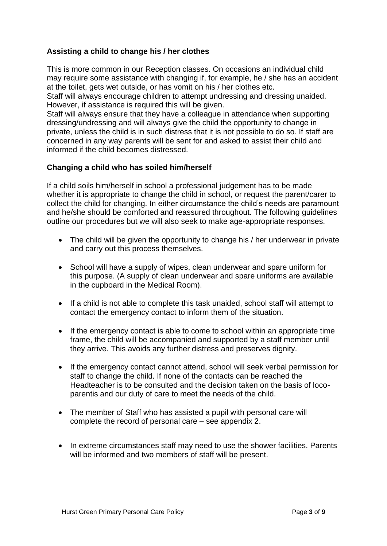## **Assisting a child to change his / her clothes**

This is more common in our Reception classes. On occasions an individual child may require some assistance with changing if, for example, he / she has an accident at the toilet, gets wet outside, or has vomit on his / her clothes etc.

Staff will always encourage children to attempt undressing and dressing unaided. However, if assistance is required this will be given.

Staff will always ensure that they have a colleague in attendance when supporting dressing/undressing and will always give the child the opportunity to change in private, unless the child is in such distress that it is not possible to do so. If staff are concerned in any way parents will be sent for and asked to assist their child and informed if the child becomes distressed.

## **Changing a child who has soiled him/herself**

If a child soils him/herself in school a professional judgement has to be made whether it is appropriate to change the child in school, or request the parent/carer to collect the child for changing. In either circumstance the child's needs are paramount and he/she should be comforted and reassured throughout. The following guidelines outline our procedures but we will also seek to make age-appropriate responses.

- The child will be given the opportunity to change his / her underwear in private and carry out this process themselves.
- School will have a supply of wipes, clean underwear and spare uniform for this purpose. (A supply of clean underwear and spare uniforms are available in the cupboard in the Medical Room).
- If a child is not able to complete this task unaided, school staff will attempt to contact the emergency contact to inform them of the situation.
- If the emergency contact is able to come to school within an appropriate time frame, the child will be accompanied and supported by a staff member until they arrive. This avoids any further distress and preserves dignity.
- If the emergency contact cannot attend, school will seek verbal permission for staff to change the child. If none of the contacts can be reached the Headteacher is to be consulted and the decision taken on the basis of locoparentis and our duty of care to meet the needs of the child.
- The member of Staff who has assisted a pupil with personal care will complete the record of personal care – see appendix 2.
- In extreme circumstances staff may need to use the shower facilities. Parents will be informed and two members of staff will be present.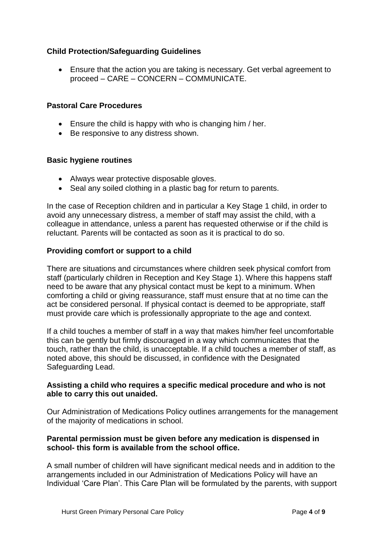#### **Child Protection/Safeguarding Guidelines**

 Ensure that the action you are taking is necessary. Get verbal agreement to proceed – CARE – CONCERN – COMMUNICATE.

#### **Pastoral Care Procedures**

- Ensure the child is happy with who is changing him / her.
- Be responsive to any distress shown.

#### **Basic hygiene routines**

- Always wear protective disposable gloves.
- Seal any soiled clothing in a plastic bag for return to parents.

In the case of Reception children and in particular a Key Stage 1 child, in order to avoid any unnecessary distress, a member of staff may assist the child, with a colleague in attendance, unless a parent has requested otherwise or if the child is reluctant. Parents will be contacted as soon as it is practical to do so.

#### **Providing comfort or support to a child**

There are situations and circumstances where children seek physical comfort from staff (particularly children in Reception and Key Stage 1). Where this happens staff need to be aware that any physical contact must be kept to a minimum. When comforting a child or giving reassurance, staff must ensure that at no time can the act be considered personal. If physical contact is deemed to be appropriate, staff must provide care which is professionally appropriate to the age and context.

If a child touches a member of staff in a way that makes him/her feel uncomfortable this can be gently but firmly discouraged in a way which communicates that the touch, rather than the child, is unacceptable. If a child touches a member of staff, as noted above, this should be discussed, in confidence with the Designated Safeguarding Lead.

#### **Assisting a child who requires a specific medical procedure and who is not able to carry this out unaided.**

Our Administration of Medications Policy outlines arrangements for the management of the majority of medications in school.

#### **Parental permission must be given before any medication is dispensed in school- this form is available from the school office.**

A small number of children will have significant medical needs and in addition to the arrangements included in our Administration of Medications Policy will have an Individual 'Care Plan'. This Care Plan will be formulated by the parents, with support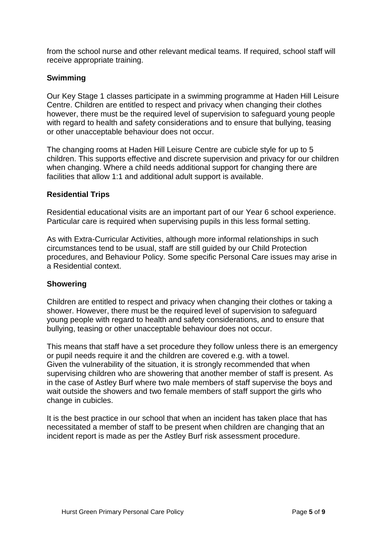from the school nurse and other relevant medical teams. If required, school staff will receive appropriate training.

#### **Swimming**

Our Key Stage 1 classes participate in a swimming programme at Haden Hill Leisure Centre. Children are entitled to respect and privacy when changing their clothes however, there must be the required level of supervision to safeguard young people with regard to health and safety considerations and to ensure that bullying, teasing or other unacceptable behaviour does not occur.

The changing rooms at Haden Hill Leisure Centre are cubicle style for up to 5 children. This supports effective and discrete supervision and privacy for our children when changing. Where a child needs additional support for changing there are facilities that allow 1:1 and additional adult support is available.

#### **Residential Trips**

Residential educational visits are an important part of our Year 6 school experience. Particular care is required when supervising pupils in this less formal setting.

As with Extra-Curricular Activities, although more informal relationships in such circumstances tend to be usual, staff are still guided by our Child Protection procedures, and Behaviour Policy. Some specific Personal Care issues may arise in a Residential context.

#### **Showering**

Children are entitled to respect and privacy when changing their clothes or taking a shower. However, there must be the required level of supervision to safeguard young people with regard to health and safety considerations, and to ensure that bullying, teasing or other unacceptable behaviour does not occur.

This means that staff have a set procedure they follow unless there is an emergency or pupil needs require it and the children are covered e.g. with a towel. Given the vulnerability of the situation, it is strongly recommended that when supervising children who are showering that another member of staff is present. As in the case of Astley Burf where two male members of staff supervise the boys and wait outside the showers and two female members of staff support the girls who change in cubicles.

It is the best practice in our school that when an incident has taken place that has necessitated a member of staff to be present when children are changing that an incident report is made as per the Astley Burf risk assessment procedure.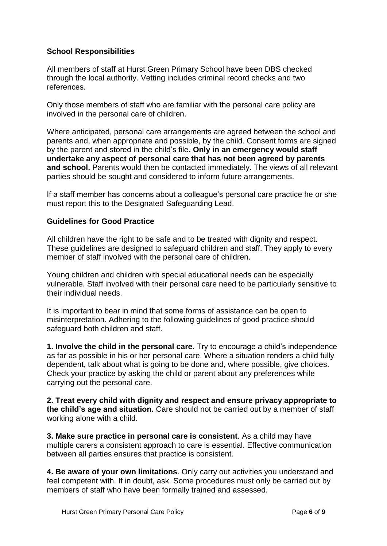#### **School Responsibilities**

All members of staff at Hurst Green Primary School have been DBS checked through the local authority. Vetting includes criminal record checks and two references.

Only those members of staff who are familiar with the personal care policy are involved in the personal care of children.

Where anticipated, personal care arrangements are agreed between the school and parents and, when appropriate and possible, by the child. Consent forms are signed by the parent and stored in the child's file**. Only in an emergency would staff undertake any aspect of personal care that has not been agreed by parents and school.** Parents would then be contacted immediately. The views of all relevant parties should be sought and considered to inform future arrangements.

If a staff member has concerns about a colleague's personal care practice he or she must report this to the Designated Safeguarding Lead.

#### **Guidelines for Good Practice**

All children have the right to be safe and to be treated with dignity and respect. These guidelines are designed to safeguard children and staff. They apply to every member of staff involved with the personal care of children.

Young children and children with special educational needs can be especially vulnerable. Staff involved with their personal care need to be particularly sensitive to their individual needs.

It is important to bear in mind that some forms of assistance can be open to misinterpretation. Adhering to the following guidelines of good practice should safeguard both children and staff.

**1. Involve the child in the personal care.** Try to encourage a child's independence as far as possible in his or her personal care. Where a situation renders a child fully dependent, talk about what is going to be done and, where possible, give choices. Check your practice by asking the child or parent about any preferences while carrying out the personal care.

**2. Treat every child with dignity and respect and ensure privacy appropriate to the child's age and situation.** Care should not be carried out by a member of staff working alone with a child.

**3. Make sure practice in personal care is consistent**. As a child may have multiple carers a consistent approach to care is essential. Effective communication between all parties ensures that practice is consistent.

**4. Be aware of your own limitations**. Only carry out activities you understand and feel competent with. If in doubt, ask. Some procedures must only be carried out by members of staff who have been formally trained and assessed.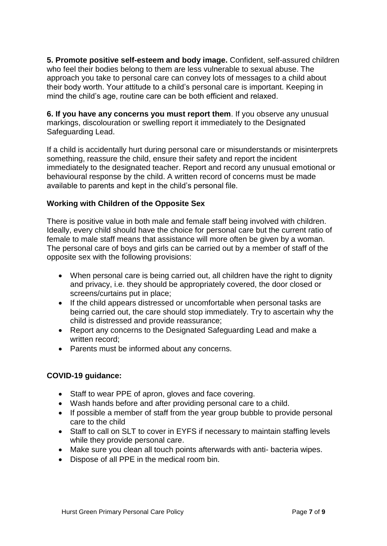**5. Promote positive self-esteem and body image.** Confident, self-assured children who feel their bodies belong to them are less vulnerable to sexual abuse. The approach you take to personal care can convey lots of messages to a child about their body worth. Your attitude to a child's personal care is important. Keeping in mind the child's age, routine care can be both efficient and relaxed.

**6. If you have any concerns you must report them**. If you observe any unusual markings, discolouration or swelling report it immediately to the Designated Safeguarding Lead.

If a child is accidentally hurt during personal care or misunderstands or misinterprets something, reassure the child, ensure their safety and report the incident immediately to the designated teacher. Report and record any unusual emotional or behavioural response by the child. A written record of concerns must be made available to parents and kept in the child's personal file.

#### **Working with Children of the Opposite Sex**

There is positive value in both male and female staff being involved with children. Ideally, every child should have the choice for personal care but the current ratio of female to male staff means that assistance will more often be given by a woman. The personal care of boys and girls can be carried out by a member of staff of the opposite sex with the following provisions:

- When personal care is being carried out, all children have the right to dignity and privacy, i.e. they should be appropriately covered, the door closed or screens/curtains put in place;
- If the child appears distressed or uncomfortable when personal tasks are being carried out, the care should stop immediately. Try to ascertain why the child is distressed and provide reassurance;
- Report any concerns to the Designated Safeguarding Lead and make a written record;
- Parents must be informed about any concerns.

#### **COVID-19 guidance:**

- Staff to wear PPE of apron, gloves and face covering.
- Wash hands before and after providing personal care to a child.
- If possible a member of staff from the year group bubble to provide personal care to the child
- Staff to call on SLT to cover in EYFS if necessary to maintain staffing levels while they provide personal care.
- Make sure you clean all touch points afterwards with anti- bacteria wipes.
- Dispose of all PPE in the medical room bin.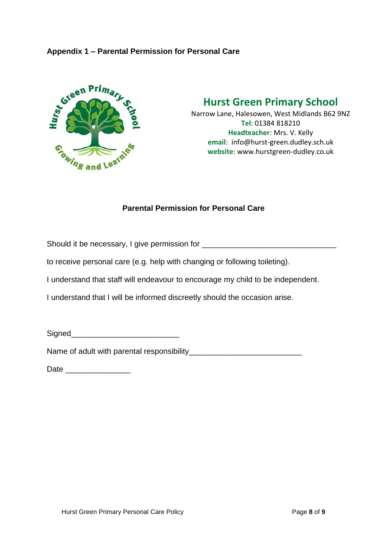

# **Hurst Green Primary School**

Narrow Lane, Halesowen, West Midlands B62 9NZ **Tel**: 01384 818210 **Headteacher**: Mrs. V. Kelly **email**: info@hurst-green.dudley.sch.uk **website**: www.hurstgreen-dudley.co.uk

## **Parental Permission for Personal Care**

Should it be necessary, I give permission for \_\_\_\_\_\_\_\_\_\_\_\_\_\_\_\_\_\_\_\_\_\_\_\_\_\_\_\_\_\_\_\_\_\_

to receive personal care (e.g. help with changing or following toileting).

I understand that staff will endeavour to encourage my child to be independent.

I understand that I will be informed discreetly should the occasion arise.

Signed **Signed** 

Name of adult with parental responsibility\_\_\_\_\_\_\_\_\_\_\_\_\_\_\_\_\_\_\_\_\_\_\_\_\_\_

Date \_\_\_\_\_\_\_\_\_\_\_\_\_\_\_